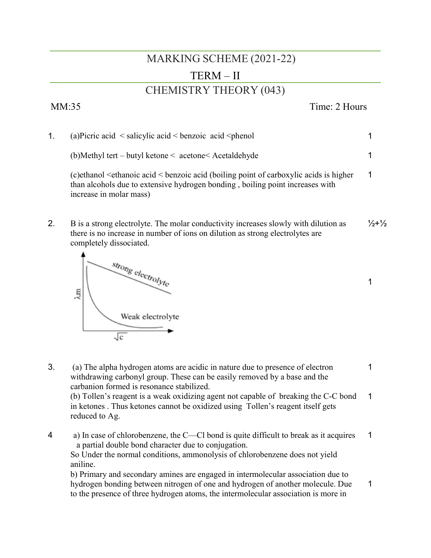## MARKING SCHEME (2021-22)

## TERM – II

### CHEMISTRY THEORY (043)

# 1. (a)Picric acid  $\leq$  salicylic acid  $\leq$  benzoic acid  $\leq$  phenol (b)Methyl tert – butyl ketone < acetone< Acetaldehyde

(c)ethanol <ethanoic acid < benzoic acid (boiling point of carboxylic acids is higher than alcohols due to extensive hydrogen bonding , boiling point increases with increase in molar mass) 1

2. B is a strong electrolyte. The molar conductivity increases slowly with dilution as there is no increase in number of ions on dilution as strong electrolytes are completely dissociated.  $1/2+1/2$ 



- 3. (a) The alpha hydrogen atoms are acidic in nature due to presence of electron withdrawing carbonyl group. These can be easily removed by a base and the carbanion formed is resonance stabilized. (b) Tollen's reagent is a weak oxidizing agent not capable of breaking the C-C bond in ketones . Thus ketones cannot be oxidized using Tollen's reagent itself gets reduced to Ag. 1 1
- 4 a) In case of chlorobenzene, the C—Cl bond is quite difficult to break as it acquires a partial double bond character due to conjugation. 1

So Under the normal conditions, ammonolysis of chlorobenzene does not yield aniline.

b) Primary and secondary amines are engaged in intermolecular association due to hydrogen bonding between nitrogen of one and hydrogen of another molecule. Due to the presence of three hydrogen atoms, the intermolecular association is more in 1

MM:35 Time: 2 Hours

1

1

1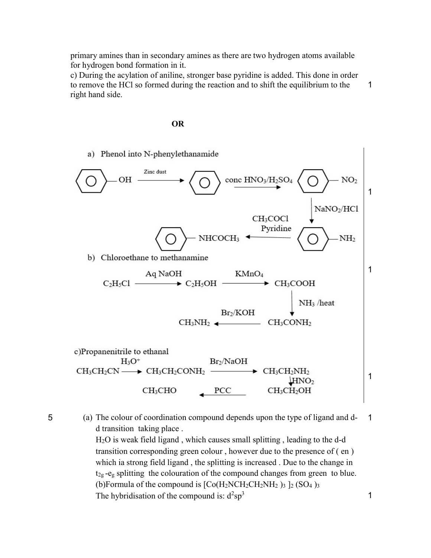primary amines than in secondary amines as there are two hydrogen atoms available for hydrogen bond formation in it.

c) During the acylation of aniline, stronger base pyridine is added. This done in order to remove the HCl so formed during the reaction and to shift the equilibrium to the right hand side. 1

### OR



5 (a) The colour of coordination compound depends upon the type of ligand and dd transition taking place . H2O is weak field ligand , which causes small splitting , leading to the d-d transition corresponding green colour , however due to the presence of ( en ) which ia strong field ligand , the splitting is increased . Due to the change in  $t_{2g}$  -e<sub>g</sub> splitting the colouration of the compound changes from green to blue. (b)Formula of the compound is  $[Co(H_2NCH_2CH_2NH_2)]_3$   $]_2$  (SO<sub>4</sub>)<sub>3</sub> 1

The hybridisation of the compound is:  $d^2sp^3$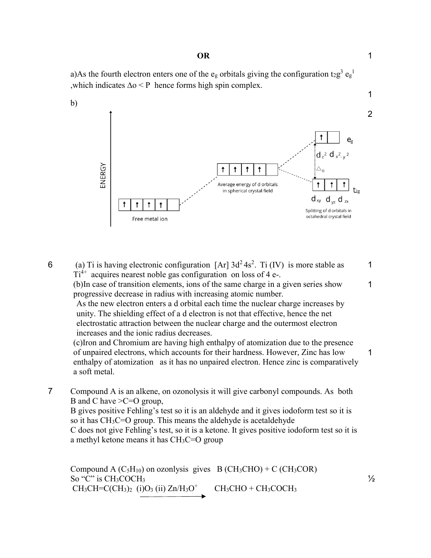#### OR

a)As the fourth electron enters one of the e<sub>g</sub> orbitals giving the configuration t<sub>2</sub>g<sup>3</sup> e<sub>g</sub><sup>1</sup> ,which indicates ∆o < P hence forms high spin complex.



6 (a) Ti is having electronic configuration [Ar]  $3d^2 4s^2$ . Ti (IV) is more stable as  $Ti<sup>4+</sup>$  acquires nearest noble gas configuration on loss of 4 e-. 1

(b)In case of transition elements, ions of the same charge in a given series show progressive decrease in radius with increasing atomic number.

As the new electron enters a d orbital each time the nuclear charge increases by unity. The shielding effect of a d electron is not that effective, hence the net electrostatic attraction between the nuclear charge and the outermost electron increases and the ionic radius decreases.

(c)Iron and Chromium are having high enthalpy of atomization due to the presence of unpaired electrons, which accounts for their hardness. However, Zinc has low enthalpy of atomization as it has no unpaired electron. Hence zinc is comparatively a soft metal.

7 Compound A is an alkene, on ozonolysis it will give carbonyl compounds. As both B and C have >C=O group,

B gives positive Fehling's test so it is an aldehyde and it gives iodoform test so it is so it has  $CH<sub>3</sub>C=O$  group. This means the aldehyde is acetaldehyde C does not give Fehling's test, so it is a ketone. It gives positive iodoform test so it is a methyl ketone means it has  $CH<sub>3</sub>C=O$  group

Compound A  $(C_5H_{10})$  on ozonlysis gives B  $(CH_3CHO) + C (CH_3COR)$ So "C" is CH<sub>3</sub>COCH<sub>3</sub>  $CH_3CH=C(CH_3)_2$  (i)O<sub>3</sub> (ii)  $Zn/H_3O^+$  $CH<sub>3</sub>CHO + CH<sub>3</sub>COCH<sub>3</sub>$ 

1

 $\frac{1}{2}$ 

1

1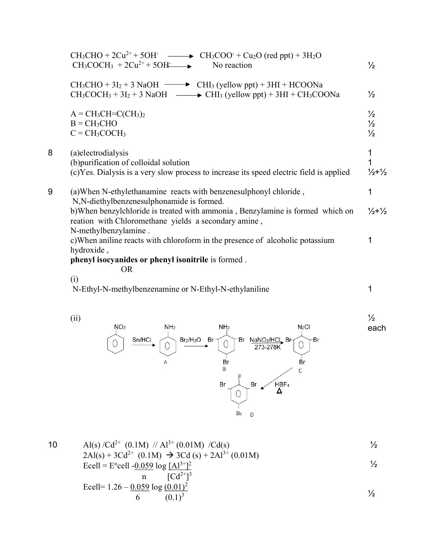|   | $CH_3CHO + 2Cu^{2+} + 5OH$ $\longrightarrow$ $CH_3COO + Cu_2O$ (red ppt) + 3H <sub>2</sub> O<br>$CH_3COCH_3 + 2Cu^{2+} + 5OH$<br>No reaction                                                           | $\frac{1}{2}$                                   |
|---|--------------------------------------------------------------------------------------------------------------------------------------------------------------------------------------------------------|-------------------------------------------------|
|   | $CH_3CHO + 3I_2 + 3$ NaOH $\longrightarrow$ CHI <sub>3</sub> (yellow ppt) + 3HI + HCOONa<br>$CH_3COCH_3 + 3I_2 + 3$ NaOH $\longrightarrow$ CHI <sub>3</sub> (yellow ppt) + 3HI + CH <sub>3</sub> COONa | $\frac{1}{2}$                                   |
|   | $A = CH3CH=C(CH3)2$<br>$B = CH3CHO$<br>$C = CH3COCH3$                                                                                                                                                  | $\frac{1}{2}$<br>$\frac{1}{2}$<br>$\frac{1}{2}$ |
| 8 | (a)electrodialysis<br>(b) purification of colloidal solution<br>(c) Yes. Dialysis is a very slow process to increase its speed electric field is applied                                               | 1<br>1<br>$\frac{1}{2} + \frac{1}{2}$           |
| 9 | (a) When N-ethylethanamine reacts with benzenesulphonyl chloride,<br>N, N-diethylbenzenesulphonamide is formed.                                                                                        | 1                                               |
|   | b) When benzylchloride is treated with ammonia, Benzylamine is formed which on<br>reation with Chloromethane yields a secondary amine,<br>N-methylbenzylamine.                                         | $\frac{1}{2} + \frac{1}{2}$                     |
|   | c) When aniline reacts with chloroform in the presence of alcoholic potassium<br>hydroxide,                                                                                                            | 1                                               |
|   | phenyl isocyanides or phenyl isonitrile is formed.<br><b>OR</b>                                                                                                                                        |                                                 |
|   | (i)<br>N-Ethyl-N-methylbenzenamine or N-Ethyl-N-ethylaniline                                                                                                                                           | 1                                               |
|   |                                                                                                                                                                                                        |                                                 |



10 Al(s)  $/Cd^{2+}$  (0.1M)  $// Al^{3+}$  (0.01M)  $/Cd(s)$ ½

$$
2\text{Al}(s) + 3\text{Cd}^{2+} \ (0.1\text{M}) \rightarrow 3\text{Cd}(s) + 2\text{Al}^{3+} \ (0.01\text{M})
$$
\n
$$
\text{Ecell} = \text{E}^{\circ}\text{cell} - \frac{0.059}{100} \log \frac{[\text{Al}^{3+}]^{2}}{[\text{Cl}^{3+}]^{3}}
$$

$$
\begin{array}{c}\n\text{nc} \\
\text{Ecell} = 1.26 - \frac{0.059}{6} \log \frac{(0.01)^2}{(0.1)^3}\n\end{array}
$$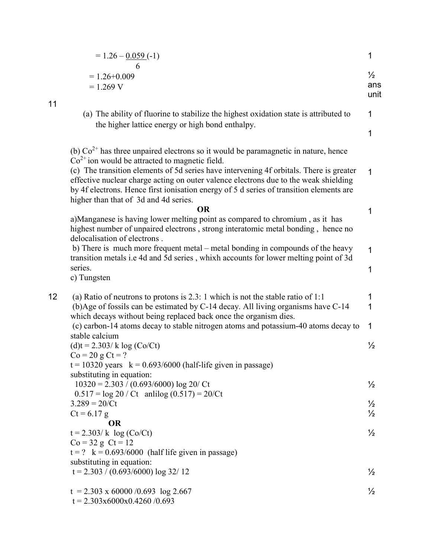|    | $= 1.26 - 0.059(-1)$                                                                                                                                                                                                                                                                                                | 1                            |
|----|---------------------------------------------------------------------------------------------------------------------------------------------------------------------------------------------------------------------------------------------------------------------------------------------------------------------|------------------------------|
|    | 6<br>$= 1.26 + 0.009$<br>$= 1.269 V$                                                                                                                                                                                                                                                                                | $\frac{1}{2}$<br>ans<br>unit |
| 11 | (a) The ability of fluorine to stabilize the highest oxidation state is attributed to<br>the higher lattice energy or high bond enthalpy.                                                                                                                                                                           | 1                            |
|    |                                                                                                                                                                                                                                                                                                                     | 1                            |
|    | (b) $Co2+$ has three unpaired electrons so it would be paramagnetic in nature, hence<br>$Co2+$ ion would be attracted to magnetic field.                                                                                                                                                                            |                              |
|    | (c) The transition elements of 5d series have intervening 4f orbitals. There is greater<br>effective nuclear charge acting on outer valence electrons due to the weak shielding<br>by 4f electrons. Hence first ionisation energy of 5 d series of transition elements are<br>higher than that of 3d and 4d series. | $\mathbf 1$                  |
|    | <b>OR</b>                                                                                                                                                                                                                                                                                                           | 1                            |
|    | a)Manganese is having lower melting point as compared to chromium, as it has<br>highest number of unpaired electrons, strong interatomic metal bonding, hence no<br>delocalisation of electrons.                                                                                                                    |                              |
|    | b) There is much more frequent metal – metal bonding in compounds of the heavy<br>transition metals i.e 4d and 5d series, whixh accounts for lower melting point of 3d                                                                                                                                              | 1                            |
|    | series.<br>c) Tungsten                                                                                                                                                                                                                                                                                              | 1                            |
| 12 | (a) Ratio of neutrons to protons is $2.3:1$ which is not the stable ratio of 1:1                                                                                                                                                                                                                                    | 1                            |
|    | (b)Age of fossils can be estimated by C-14 decay. All living organisms have C-14<br>which decays without being replaced back once the organism dies.                                                                                                                                                                | 1                            |
|    | (c) carbon-14 atoms decay to stable nitrogen atoms and potassium-40 atoms decay to<br>stable calcium                                                                                                                                                                                                                | $\mathbf 1$                  |
|    | $(d)t = 2.303/k \log(Co/Ct)$                                                                                                                                                                                                                                                                                        | $\frac{1}{2}$                |
|    | $Co = 20 g C t = ?$                                                                                                                                                                                                                                                                                                 |                              |
|    | $t = 10320$ years $k = 0.693/6000$ (half-life given in passage)                                                                                                                                                                                                                                                     |                              |
|    | substituting in equation:                                                                                                                                                                                                                                                                                           |                              |
|    | $10320 = 2.303 / (0.693/6000) \log 20 / Ct$<br>$0.517 = \log 20 / C$ t anli $\log (0.517) = 20 / C$ t                                                                                                                                                                                                               | $\frac{1}{2}$                |
|    | $3.289 = 20/Ct$                                                                                                                                                                                                                                                                                                     | $\frac{1}{2}$                |
|    | $Ct = 6.17 g$                                                                                                                                                                                                                                                                                                       | $\frac{1}{2}$                |
|    | <b>OR</b>                                                                                                                                                                                                                                                                                                           |                              |
|    | $t = 2.303/k \log(C_0/Ct)$                                                                                                                                                                                                                                                                                          | $\frac{1}{2}$                |
|    | $Co = 32 g Ct = 12$<br>$t = ?$ k = 0.693/6000 (half life given in passage)                                                                                                                                                                                                                                          |                              |
|    | substituting in equation:                                                                                                                                                                                                                                                                                           |                              |
|    | $t = 2.303 / (0.693/6000) \log 32/12$                                                                                                                                                                                                                                                                               | $\frac{1}{2}$                |
|    | $t = 2.303 \times 60000 / 0.693 \log 2.667$                                                                                                                                                                                                                                                                         | $\frac{1}{2}$                |
|    | $t = 2.303x6000x0.4260/0.693$                                                                                                                                                                                                                                                                                       |                              |

11